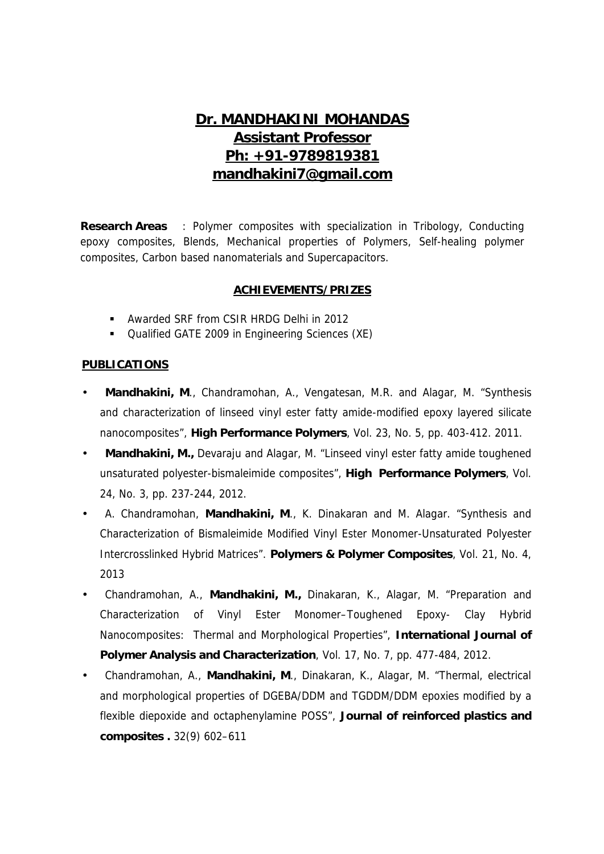# **Dr. MANDHAKINI MOHANDAS Assistant Professor Ph: +91-9789819381 mandhakini7@gmail.com**

**Research Areas** : Polymer composites with specialization in Tribology, Conducting epoxy composites, Blends, Mechanical properties of Polymers, Self-healing polymer composites, Carbon based nanomaterials and Supercapacitors.

#### **ACHIEVEMENTS/PRIZES**

- Awarded SRF from CSIR HRDG Delhi in 2012
- Qualified GATE 2009 in Engineering Sciences (XE)

#### **PUBLICATIONS**

- **Mandhakini, M**., Chandramohan, A., Vengatesan, M.R. and Alagar, M. "Synthesis and characterization of linseed vinyl ester fatty amide-modified epoxy layered silicate nanocomposites", **High Performance Polymers**, Vol. 23, No. 5, pp. 403-412. 2011.
- **Mandhakini, M.,** Devaraju and Alagar, M. "Linseed vinyl ester fatty amide toughened unsaturated polyester-bismaleimide composites", **High Performance Polymers**, Vol. 24, No. 3, pp. 237-244, 2012.
- A. Chandramohan, **Mandhakini, M**., K. Dinakaran and M. Alagar. "Synthesis and Characterization of Bismaleimide Modified Vinyl Ester Monomer-Unsaturated Polyester Intercrosslinked Hybrid Matrices". **Polymers & Polymer Composites**, Vol. 21, No. 4, 2013
- Chandramohan, A., **Mandhakini, M.,** Dinakaran, K., Alagar, M. "Preparation and Characterization of Vinyl Ester Monomer–Toughened Epoxy- Clay Hybrid Nanocomposites: Thermal and Morphological Properties", **International Journal of Polymer Analysis and Characterization**, Vol. 17, No. 7, pp. 477-484, 2012.
- Chandramohan, A., **Mandhakini, M**., Dinakaran, K., Alagar, M. "Thermal, electrical and morphological properties of DGEBA/DDM and TGDDM/DDM epoxies modified by a flexible diepoxide and octaphenylamine POSS", **Journal of reinforced plastics and composites .** 32(9) 602–611